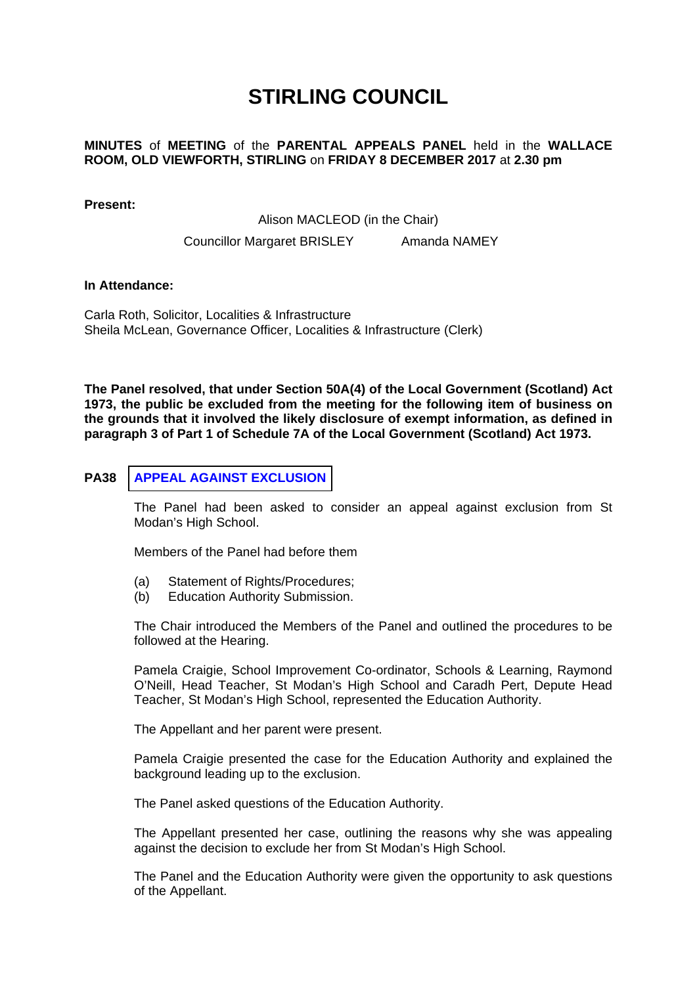## **STIRLING COUNCIL**

## **MINUTES** of **MEETING** of the **PARENTAL APPEALS PANEL** held in the **WALLACE ROOM, OLD VIEWFORTH, STIRLING** on **FRIDAY 8 DECEMBER 2017** at **2.30 pm**

**Present:** 

Alison MACLEOD (in the Chair)

Councillor Margaret BRISLEY Amanda NAMEY

**In Attendance:** 

Carla Roth, Solicitor, Localities & Infrastructure Sheila McLean, Governance Officer, Localities & Infrastructure (Clerk)

**The Panel resolved, that under Section 50A(4) of the Local Government (Scotland) Act 1973, the public be excluded from the meeting for the following item of business on the grounds that it involved the likely disclosure of exempt information, as defined in paragraph 3 of Part 1 of Schedule 7A of the Local Government (Scotland) Act 1973.** 

## **PA38 [APPEAL AGAINST EXCLUSION](/forms/request.htm)**

The Panel had been asked to consider an appeal against exclusion from St Modan's High School.

Members of the Panel had before them

- (a) Statement of Rights/Procedures;
- (b) Education Authority Submission.

The Chair introduced the Members of the Panel and outlined the procedures to be followed at the Hearing.

Pamela Craigie, School Improvement Co-ordinator, Schools & Learning, Raymond O'Neill, Head Teacher, St Modan's High School and Caradh Pert, Depute Head Teacher, St Modan's High School, represented the Education Authority.

The Appellant and her parent were present.

Pamela Craigie presented the case for the Education Authority and explained the background leading up to the exclusion.

The Panel asked questions of the Education Authority.

The Appellant presented her case, outlining the reasons why she was appealing against the decision to exclude her from St Modan's High School.

The Panel and the Education Authority were given the opportunity to ask questions of the Appellant.